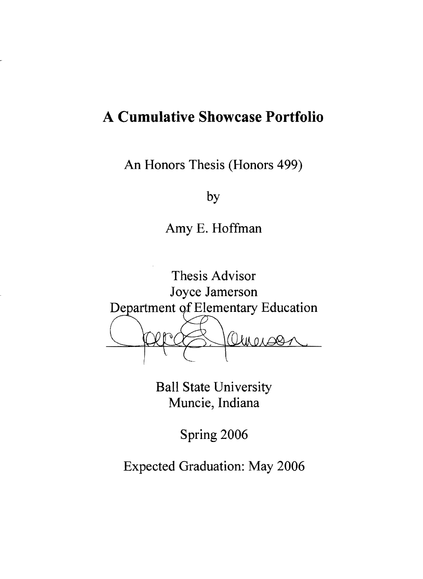# **A Cumulative Showcase Portfolio**

An Honors Thesis (Honors 499)

by

Amy E. Hoffman



Ball State University Muncie, Indiana

Spring 2006

Expected Graduation: May 2006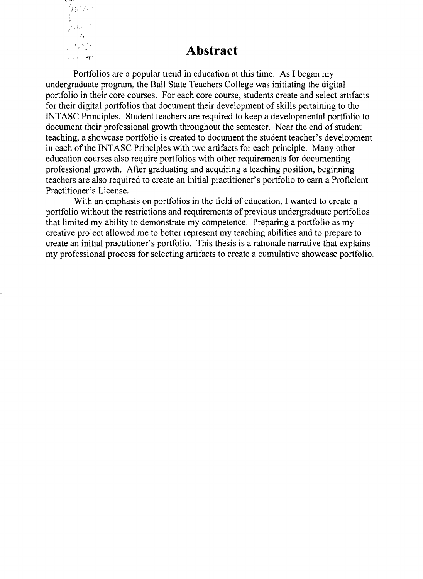

#### **Abstract**

Portfolios are a popular trend in education at this time. As I began my undergraduate program, the Ball State Teachers College was initiating the digital portfolio in their core courses. For each core course, students create and select artifacts for their digital portfolios that document their development of skills pertaining to the INT ASC Principles. Student teachers are required to keep a developmental portfolio to document their professional growth throughout the semester. Near the end of student teaching, a showcase portfolio is created to document the student teacher's development in each of the INT ASC Principles with two artifacts for each principle. Many other education courses also require portfolios with other requirements for documenting professional growth. After graduating and acquiring a teaching position, beginning teachers are also required to create an initial practitioner's portfolio to earn a Proficient Practitioner's License.

With an emphasis on portfolios in the field of education, I wanted to create a portfolio without the restrictions and requirements of previous undergraduate portfolios that limited my ability to demonstrate my competence. Preparing a portfolio as my creative project allowed me to better represent my teaching abilities and to prepare to create an initial practitioner's portfolio. This thesis is a rationale narrative that explains my professional process for selecting artifacts to create a cumulative showcase portfolio.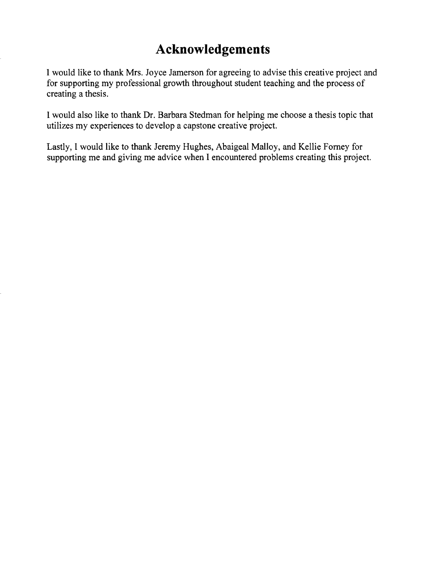# **Acknowledgements**

I would like to thank Mrs. Joyce Jamerson for agreeing to advise this creative project and for supporting my professional growth throughout student teaching and the process of creating a thesis.

I would also like to thank Dr. Barbara Stedman for helping me choose a thesis topic that utilizes my experiences to develop a capstone creative project.

Lastly, I would like to thank Jeremy Hughes, Abaigeal Malloy, and Kellie Forney for supporting me and giving me advice when I encountered problems creating this project.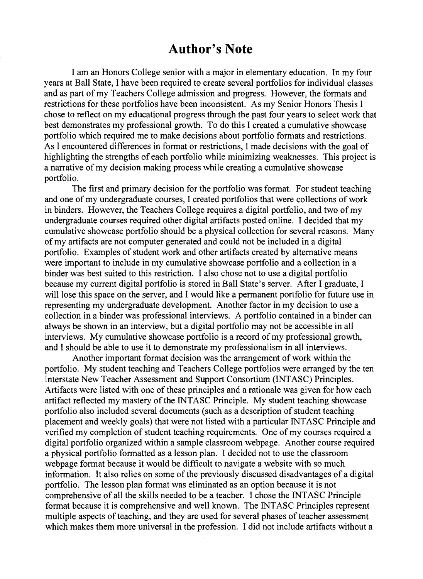#### **Author's Note**

I am an Honors College senior with a major in elementary education. In my four years at Ball State, I have been required to create several portfolios for individual classes and as part of my Teachers College admission and progress. However, the formats and restrictions for these portfolios have been inconsistent. As my Senior Honors Thesis I chose to reflect on my educational progress through the past four years to select work that best demonstrates my professional growth. To do this I created a cumulative showcase portfolio which required me to make decisions about portfolio formats and restrictions. As I encountered differences in format or restrictions, I made decisions with the goal of highlighting the strengths of each portfolio while minimizing weaknesses. This project is a narrative of my decision making process while creating a cumulative showcase portfolio.

The first and primary decision for the portfolio was format. For student teaching and one of my undergraduate courses, I created portfolios that were collections of work in binders. However, the Teachers College requires a digital portfolio, and two of my undergraduate courses required other digital artifacts posted online. I decided that my cumulative showcase portfolio should be a physical collection for several reasons. Many of my artifacts are not computer generated and could not be included in a digital portfolio. Examples of student work and other artifacts created by alternative means were important to include in my cumulative showcase portfolio and a collection in a binder was best suited to this restriction. I also chose not to use a digital portfolio because my current digital portfolio is stored in Ball State's server. After I graduate, I will lose this space on the server, and I would like a permanent portfolio for future use in representing my undergraduate development. Another factor in my decision to use a collection in a binder was professional interviews. A portfolio contained in a binder can always be shown in an interview, but a digital portfolio may not be accessible in all interviews. My cumulative showcase portfolio is a record of my professional growth, and I should be able to use it to demonstrate my professionalism in all interviews.

Another important format decision was the arrangement of work within the portfolio. My student teaching and Teachers College portfolios were arranged by the ten Interstate New Teacher Assessment and Support Consortium (INTASC) Principles. Artifacts were listed with one of these principles and a rationale was given for how each artifact reflected my mastery of the INTASC Principle. My student teaching showcase portfolio also included several documents (such as a description of student teaching placement and weekly goals) that were not listed with a particular INTASC Principle and verified my completion of student teaching requirements. One of my courses required a digital portfolio organized within a sample classroom webpage. Another course required a physical portfolio formatted as a lesson plan. I decided not to use the classroom webpage format because it would be difficult to navigate a website with so much information. It also relies on some of the previously discussed disadvantages of a digital portfolio. The lesson plan format was eliminated as an option because it is not comprehensive of all the skills needed to be a teacher. I chose the INT ASC Principle format because it is comprehensive and well known. The INT ASC Principles represent multiple aspects of teaching, and they are used for several phases of teacher assessment which makes them more universal in the profession. I did not include artifacts without a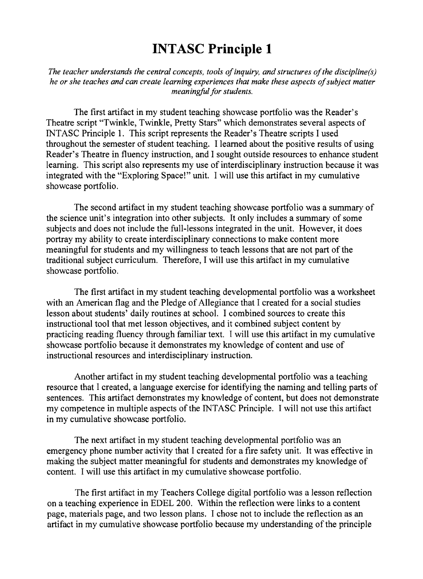*The teacher understands the central concepts, tools of inquiry, and structures of the discipline(s) he or she teaches and can create learning experiences that make these aspects of subject matter meaningful for students.* 

The first artifact in my student teaching showcase portfolio was the Reader's Theatre script "Twinkle, Twinkle, Pretty Stars" which demonstrates several aspects of INTASC Principle 1. This script represents the Reader's Theatre scripts I used throughout the semester of student teaching. I learned about the positive results of using Reader's Theatre in fluency instruction, and I sought outside resources to enhance student learning. This script also represents my use of interdisciplinary instruction because it was integrated with the "Exploring Space!" unit. I will use this artifact in my cumulative showcase portfolio.

The second artifact in my student teaching showcase portfolio was a summary of the science unit's integration into other subjects. It only includes a summary of some subjects and does not include the full-lessons integrated in the unit. However, it does portray my ability to create interdisciplinary connections to make content more meaningful for students and my willingness to teach lessons that are not part of the traditional subject curriculum. Therefore, I will use this artifact in my cumulative showcase portfolio.

The first artifact in my student teaching developmental portfolio was a worksheet with an American flag and the Pledge of Allegiance that I created for a social studies lesson about students' daily routines at school. I combined sources to create this instructional tool that met lesson objectives, and it combined subject content by practicing reading fluency through familiar text. I will use this artifact in my cumulative showcase portfolio because it demonstrates my knowledge of content and use of instructional resources and interdisciplinary instruction.

Another artifact in my student teaching developmental portfolio was a teaching resource that I created, a language exercise for identifying the naming and telling parts of sentences. This artifact demonstrates my knowledge of content, but does not demonstrate my competence in multiple aspects of the INT ASC Principle. I will not use this artifact in my cumulative showcase portfolio.

The next artifact in my student teaching developmental portfolio was an emergency phone number activity that I created for a fire safety unit. It was effective in making the subject matter meaningful for students and demonstrates my knowledge of content. I will use this artifact in my cumulative showcase portfolio.

The first artifact in my Teachers College digital portfolio was a lesson reflection on a teaching experience in EDEL 200. Within the reflection were links to a content page, materials page, and two lesson plans. I chose not to include the reflection as an artifact in my cumulative showcase portfolio because my understanding of the principle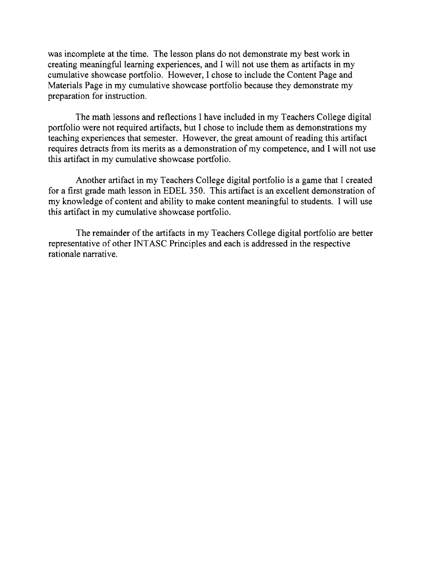was incomplete at the time. The lesson plans do not demonstrate my best work in creating meaningful learning experiences, and I will not use them as artifacts in my cumulative showcase portfolio. However, I chose to include the Content Page and Materials Page in my cumulative showcase portfolio because they demonstrate my preparation for instruction.

The math lessons and reflections I have included in my Teachers College digital portfolio were not required artifacts, but I chose to include them as demonstrations my teaching experiences that semester. However, the great amount of reading this artifact requires detracts from its merits as a demonstration of my competence, and I will not use this artifact in my cumulative showcase portfolio.

Another artifact in my Teachers College digital portfolio is a game that I created for a first grade math lesson in EDEL 350. This artifact is an excellent demonstration of my knowledge of content and ability to make content meaningful to students. I will use this artifact in my cumulative showcase portfolio.

The remainder of the artifacts in my Teachers College digital portfolio are better representative of other INT ASC Principles and each is addressed in the respective rationale narrative.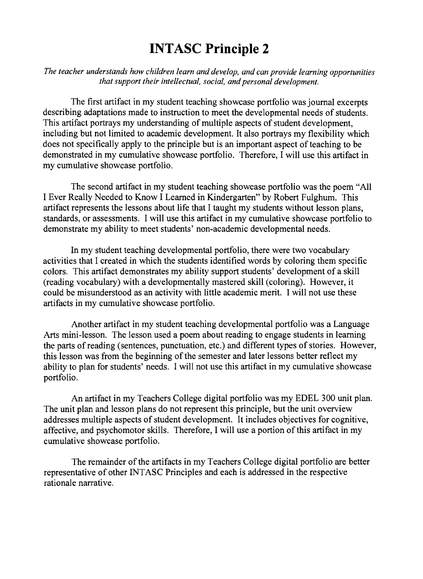*The teacher understands how children learn and develop, and can provide learning opportunities that support their intellectual, social, and personal development.* 

The first artifact in my student teaching showcase portfolio was journal excerpts describing adaptations made to instruction to meet the developmental needs of students. This artifact portrays my understanding of multiple aspects of student development, including but not limited to academic development. It also portrays my flexibility which does not specifically apply to the principle but is an important aspect of teaching to be demonstrated in my cumulative showcase portfolio. Therefore, I will use this artifact in my cumulative showcase portfolio.

The second artifact in my student teaching showcase portfolio was the poem "All I Ever Really Needed to Know I Learned in Kindergarten" by Robert Fulghum. This artifact represents the lessons about life that I taught my students without lesson plans, standards, or assessments. I will use this artifact in my cumulative showcase portfolio to demonstrate my ability to meet students' non-academic developmental needs.

In my student teaching developmental portfolio, there were two vocabulary activities that I created in which the students identified words by coloring them specific colors. This artifact demonstrates my ability support students' development of a skill (reading vocabulary) with a developmentally mastered skill (coloring). However, it could be misunderstood as an activity with little academic merit. I will not use these artifacts in my cumulative showcase portfolio.

Another artifact in my student teaching developmental portfolio was a Language Arts mini-lesson. The lesson used a poem about reading to engage students in learning the parts of reading (sentences, punctuation, etc.) and different types of stories. However, this lesson was from the beginning of the semester and later lessons better reflect my ability to plan for students' needs. I will not use this artifact in my cumulative showcase portfolio.

An artifact in my Teachers College digital portfolio was my EDEL 300 unit plan. The unit plan and lesson plans do not represent this principle, but the unit overview addresses multiple aspects of student development. It includes objectives for cognitive, affective, and psychomotor skills. Therefore, I will use a portion of this artifact in my cumulative showcase portfolio.

The remainder of the artifacts in my Teachers College digital portfolio are better representative of other !NT ASC Principles and each is addressed in the respective rationale narrative.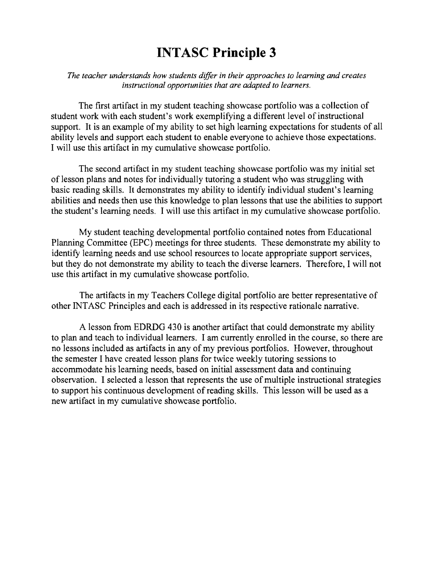*The teacher understands how students differ in their approaches to learning and creates instructional opportunities that are adapted to learners.* 

The first artifact in my student teaching showcase portfolio was a collection of student work with each student's work exemplifying a different level of instructional support. It is an example of my ability to set high learning expectations for students of all ability levels and support each student to enable everyone to achieve those expectations. I will use this artifact in my cumulative showcase portfolio.

The second artifact in my student teaching showcase portfolio was my initial set of lesson plans and notes for individually tutoring a student who was struggling with basic reading skills. It demonstrates my ability to identify individual student's learning abilities and needs then use this knowledge to plan lessons that use the abilities to support the student's learning needs. I will use this artifact in my cumulative showcase portfolio.

My student teaching developmental portfolio contained notes from Educational Planning Committee (EPC) meetings for three students. These demonstrate my ability to identify learning needs and use school resources to locate appropriate support services, but they do not demonstrate my ability to teach the diverse learners. Therefore, I will not use this artifact in my cumulative showcase portfolio.

The artifacts in my Teachers College digital portfolio are better representative of other INT ASC Principles and each is addressed in its respective rationale narrative.

A lesson from EDRDG 430 is another artifact that could demonstrate my ability to plan and teach to individual learners. I am currently enrolled in the course, so there are no lessons included as artifacts in any of my previous portfolios. However, throughout the semester I have created lesson plans for twice weekly tutoring sessions to accommodate his learning needs, based on initial assessment data and continuing observation. I selected a lesson that represents the use of multiple instructional strategies to support his continuous development of reading skills. This lesson will be used as a new artifact in my cumulative showcase portfolio.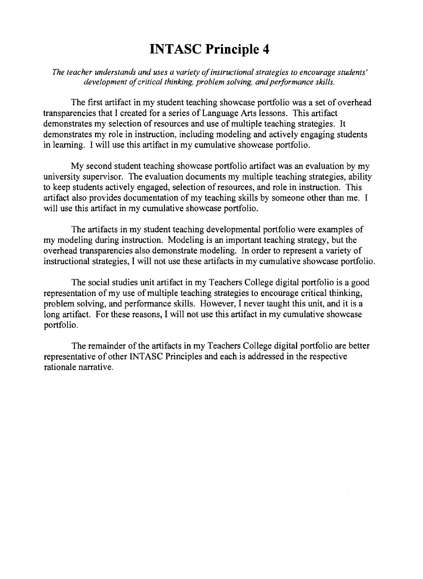*The teacher understands and uses a variety of instructional strategies to encourage students' development of critical thinking, problem solving, and performance skills.* 

The first artifact in my student teaching showcase portfolio was a set of overhead transparencies that I created for a series of Language Arts lessons. This artifact demonstrates my selection of resources and use of multiple teaching strategies. It demonstrates my role in instruction, including modeling and actively engaging students in learning. I will use this artifact in my cumulative showcase portfolio.

My second student teaching showcase portfolio artifact was an evaluation by my university supervisor. The evaluation documents my multiple teaching strategies, ability to keep students actively engaged, selection of resources, and role in instruction. This artifact also provides documentation of my teaching skills by someone other than me. I will use this artifact in my cumulative showcase portfolio.

The artifacts in my student teaching developmental portfolio were examples of my modeling during instruction. Modeling is an important teaching strategy, but the overhead transparencies also demonstrate modeling. In order to represent a variety of instructional strategies, I will not use these artifacts in my cumulative showcase portfolio.

The social studies unit artifact in my Teachers College digital portfolio is a good representation of my use of multiple teaching strategies to encourage critical thinking, problem solving, and performance skills. However, I never taught this unit, and it is a long artifact. For these reasons, I will not use this artifact in my cumulative showcase portfolio.

The remainder of the artifacts in my Teachers College digital portfolio are better representative of other INTASC Principles and each is addressed in the respective rationale narrative.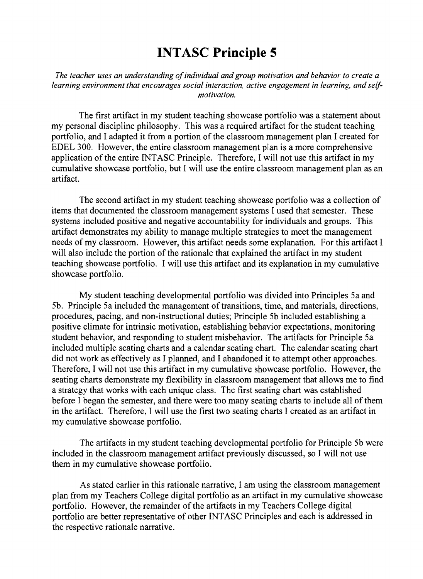*The teacher uses an understanding of individual and group motivation and behavior to create a learning environment that encourages social interaction, active engagement in learning, and selfmotivation.* 

The first artifact in my student teaching showcase portfolio was a statement about my personal discipline philosophy. This was a required artifact for the student teaching portfolio, and I adapted it from a portion of the classroom management plan I created for EDEL 300. However, the entire classroom management plan is a more comprehensive application of the entire INT ASC Principle. Therefore, I will not use this artifact in my cumulative showcase portfolio, but I will use the entire classroom management plan as an artifact.

The second artifact in my student teaching showcase portfolio was a collection of items that documented the classroom management systems I used that semester. These systems included positive and negative accountability for individuals and groups. This artifact demonstrates my ability to manage mUltiple strategies to meet the management needs of my classroom. However, this artifact needs some explanation. For this artifact I will also include the portion of the rationale that explained the artifact in my student teaching showcase portfolio. I will use this artifact and its explanation in my cumulative showcase portfolio.

My student teaching developmental portfolio was divided into Principles 5a and 5b. Principle 5a included the management of transitions, time, and materials, directions, procedures, pacing, and non-instructional duties; Principle 5b included establishing a positive climate for intrinsic motivation, establishing behavior expectations, monitoring student behavior, and responding to student misbehavior. The artifacts for Principle 5a included multiple seating charts and a calendar seating chart. The calendar seating chart did not work as effectively as I planned, and I abandoned it to attempt other approaches. Therefore, I will not use this artifact in my cumulative showcase portfolio. However, the seating charts demonstrate my flexibility in classroom management that allows me to find a strategy that works with each unique class. The first seating chart was established before I began the semester, and there were too many seating charts to include all of them in the artifact. Therefore, I will use the first two seating charts I created as an artifact in my cumulative showcase portfolio.

The artifacts in my student teaching developmental portfolio for Principle 5b were included in the classroom management artifact previously discussed, so 1 will not use them in my cumulative showcase portfolio.

As stated earlier in this rationale narrative, 1 am using the classroom management plan from my Teachers College digital portfolio as an artifact in my cumulative showcase portfolio. However, the remainder of the artifacts in my Teachers College digital portfolio are better representative of other INT ASC Principles and each is addressed in the respective rationale narrative.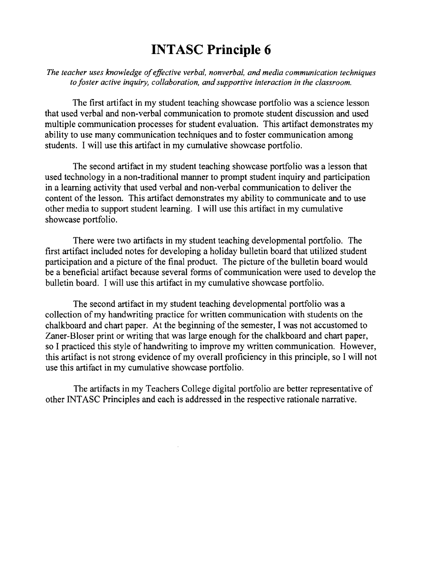*The teacher uses knowledge oj effective verbal, nonverbal, and media communication techniques to Joster active inquiry, collaboration, and supportive interaction in the classroom.* 

The first artifact in my student teaching showcase portfolio was a science lesson that used verbal and non-verbal communication to promote student discussion and used multiple communication processes for student evaluation. This artifact demonstrates my ability to use many communication techniques and to foster communication among students. I will use this artifact in my cumulative showcase portfolio.

The second artifact in my student teaching showcase portfolio was a lesson that used technology in a non-traditional manner to prompt student inquiry and participation in a learning activity that used verbal and non-verbal communication to deliver the content of the lesson. This artifact demonstrates my ability to communicate and to use other media to support student learning. I will use this artifact in my cumulative showcase portfolio.

There were two artifacts in my student teaching developmental portfolio. The first artifact included notes for developing a holiday bulletin board that utilized student participation and a picture of the final product. The picture of the bulletin board would be a beneficial artifact because several forms of communication were used to develop the bulletin board. I will use this artifact in my cumulative showcase portfolio.

The second artifact in my student teaching developmental portfolio was a collection of my handwriting practice for written communication with students on the chalkboard and chart paper. At the beginning of the semester, I was not accustomed to Zaner-Bloser print or writing that was large enough for the chalkboard and chart paper, so I practiced this style of handwriting to improve my written communication. However, this artifact is not strong evidence of my overall proficiency in this principle, so I will not use this artifact in my cumulative showcase portfolio.

The artifacts in my Teachers College digital portfolio are better representative of other !NT ASC Principles and each is addressed in the respective rationale narrative.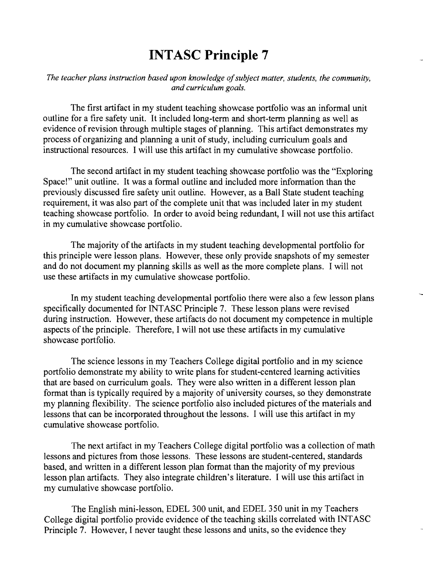*The teacher plans instruction based upon knowledge of subject matter, students, the community, and curriculum goals.* 

The first artifact in my student teaching showcase portfolio was an informal unit outline for a fire safety unit. It included long-term and short-term planning as well as evidence of revision through multiple stages of planning. This artifact demonstrates my process of organizing and planning a unit of study, including curriculum goals and instructional resources. I will use this artifact in my cumulative showcase portfolio.

The second artifact in my student teaching showcase portfolio was the "Exploring Space!" unit outline. It was a formal outline and included more information than the previously discussed fire safety unit outline. However, as a Ball State student teaching requirement, it was also part of the complete unit that was included later in my student teaching showcase portfolio. In order to avoid being redundant, I will not use this artifact in my cumulative showcase portfolio.

The majority of the artifacts in my student teaching developmental portfolio for this principle were lesson plans. However, these only provide snapshots of my semester and do not document my planning skills as well as the more complete plans. I will not use these artifacts in my cumulative showcase portfolio.

In my student teaching developmental portfolio there were also a few lesson plans specifically documented for INT ASC Principle 7. These lesson plans were revised during instruction. However, these artifacts do not document my competence in multiple aspects of the principle. Therefore, I will not use these artifacts in my cumulative showcase portfolio.

The science lessons in my Teachers College digital portfolio and in my science portfolio demonstrate my ability to write plans for student-centered learning activities that are based on curriculum goals. They were also written in a different lesson plan format than is typically required by a majority of university courses, so they demonstrate my planning flexibility. The science portfolio also included pictures of the materials and lessons that can be incorporated throughout the lessons. I will use this artifact in my cumulative showcase portfolio.

The next artifact in my Teachers College digital portfolio was a collection of math lessons and pictures from those lessons. These lessons are student-centered, standards based, and written in a different lesson plan format than the majority of my previous lesson plan artifacts. They also integrate children's literature. I will use this artifact in my cumulative showcase portfolio.

The English mini-lesson, EDEL 300 unit, and EDEL 350 unit in my Teachers College digital portfolio provide evidence of the teaching skills correlated with INT ASC Principle 7. However, I never taught these lessons and units, so the evidence they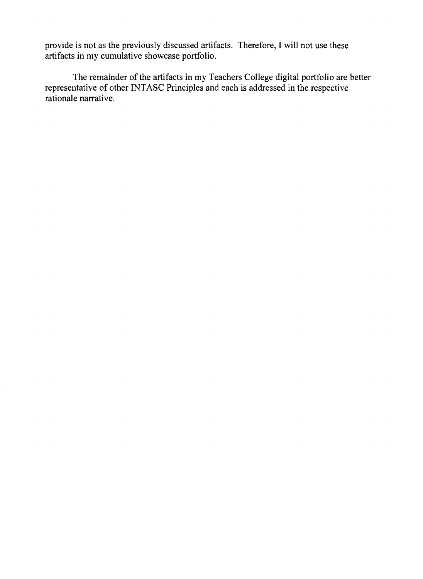provide is not as the previously discussed artifacts. Therefore, I will not use these artifacts in my cumulative showcase portfolio.

The remainder of the artifacts in my Teachers College digital portfolio are better representative of other INT ASC Principles and each is addressed in the respective rationale narrative.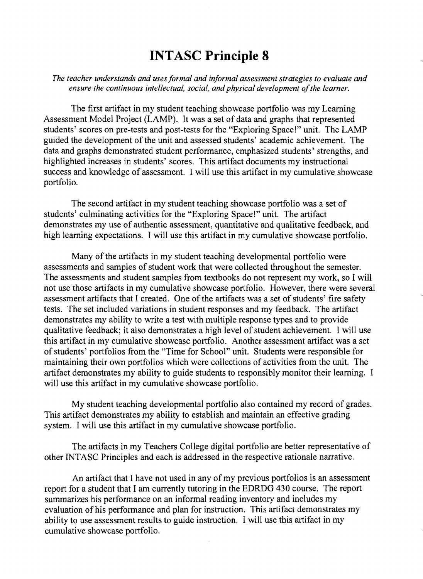*The teacher understands and uses formal and informal assessment strategies to evaluate and ensure the continuous intellectual. social, and physical development of the learner.* 

The first artifact in my student teaching showcase portfolio was my Learning Assessment Model Project (LAMP). It was a set of data and graphs that represented students' scores on pre-tests and post-tests for the "Exploring Space!" unit. The LAMP guided the development of the unit and assessed students' academic achievement. The data and graphs demonstrated student performance, emphasized students' strengths, and highlighted increases in students' scores. This artifact documents my instructional success and knowledge of assessment. I will use this artifact in my cumulative showcase portfolio.

The second artifact in my student teaching showcase portfolio was a set of students' culminating activities for the "Exploring Space!" unit. The artifact demonstrates my use of authentic assessment, quantitative and qualitative feedback, and high learning expectations. I will use this artifact in my cumulative showcase portfolio.

Many of the artifacts in my student teaching developmental portfolio were assessments and samples of student work that were collected throughout the semester. The assessments and student samples from textbooks do not represent my work, so I will not use those artifacts in my cumulative showcase portfolio. However, there were several assessment artifacts that I created. One of the artifacts was a set of students' fire safety tests. The set included variations in student responses and my feedback. The artifact demonstrates my ability to write a test with multiple response types and to provide qualitative feedback; it also demonstrates a high level of student achievement. I will use this artifact in my cumulative showcase portfolio. Another assessment artifact was a set of students' portfolios from the "Time for School" unit. Students were responsible for maintaining their own portfolios which were collections of activities from the unit. The artifact demonstrates my ability to guide students to responsibly monitor their learning. I will use this artifact in my cumulative showcase portfolio.

My student teaching developmental portfolio also contained my record of grades. This artifact demonstrates my ability to establish and maintain an effective grading system. I will use this artifact in my cumulative showcase portfolio.

The artifacts in my Teachers College digital portfolio are better representative of other INT ASC Principles and each is addressed in the respective rationale narrative.

An artifact that I have not used in any of my previous portfolios is an assessment report for a student that I am currently tutoring in the EDRDG 430 course. The report summarizes his performance on an informal reading inventory and includes my evaluation of his performance and plan for instruction. This artifact demonstrates my ability to use assessment results to guide instruction. I will use this artifact in my cumulative showcase portfolio.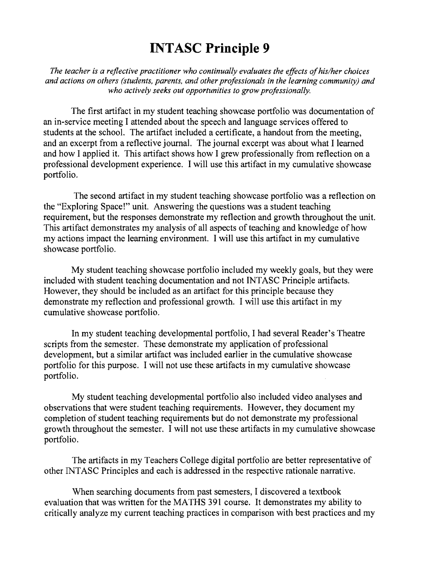*The teacher is a reflective practitioner who continually evaluates the effects of hislher choices and actions on others (students, parents, and other professionals in the learning community) and who actively seeks out opportunities to grow professionally.* 

The first artifact in my student teaching showcase portfolio was documentation of an in-service meeting I attended about the speech and language services offered to students at the school. The artifact included a certificate, a handout from the meeting, and an excerpt from a reflective journal. The journal excerpt was about what I learned and how I applied it. This artifact shows how I grew professionally from reflection on a professional development experience. I will use this artifact in my cumulative showcase portfolio.

The second artifact in my student teaching showcase portfolio was a reflection on the "Exploring Space!" unit. Answering the questions was a student teaching requirement, but the responses demonstrate my reflection and growth throughout the unit. This artifact demonstrates my analysis of all aspects of teaching and knowledge of how my actions impact the learning environment. I will use this artifact in my cumulative showcase portfolio.

My student teaching showcase portfolio included my weekly goals, but they were included with student teaching documentation and not INT ASC Principle artifacts. However, they should be included as an artifact for this principle because they demonstrate my reflection and professional growth. I will use this artifact in my cumulative showcase portfolio.

In my student teaching developmental portfolio, I had several Reader's Theatre scripts from the semester. These demonstrate my application of professional development, but a similar artifact was included earlier in the cumulative showcase portfolio for this purpose. I will not use these artifacts in my cumulative showcase portfolio.

My student teaching developmental portfolio also included video analyses and observations that were student teaching requirements. However, they document my completion of student teaching requirements but do not demonstrate my professional growth throughout the semester. I will not use these artifacts in my cumulative showcase portfolio.

The artifacts in my Teachers College digital portfolio are better representative of other INTASC Principles and each is addressed in the respective rationale narrative.

When searching documents from past semesters, I discovered a textbook evaluation that was written for the MATHS 391 course. It demonstrates my ability to critically analyze my current teaching practices in comparison with best practices and my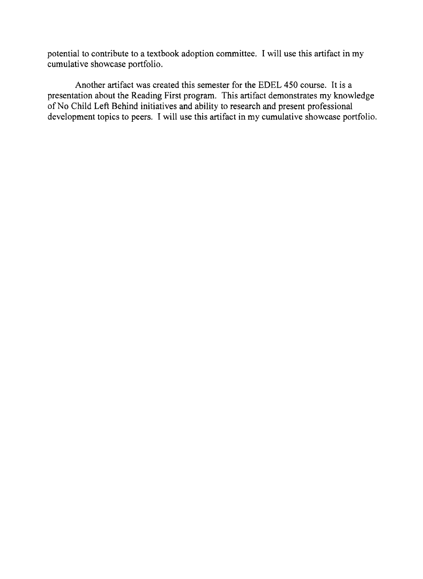potential to contribute to a textbook adoption committee. I will use this artifact in my cumulative showcase portfolio.

Another artifact was created this semester for the EDEL 450 course. It is a presentation about the Reading First program. This artifact demonstrates my knowledge of No Child Left Behind initiatives and ability to research and present professional development topics to peers. I will use this artifact in my cumulative showcase portfolio.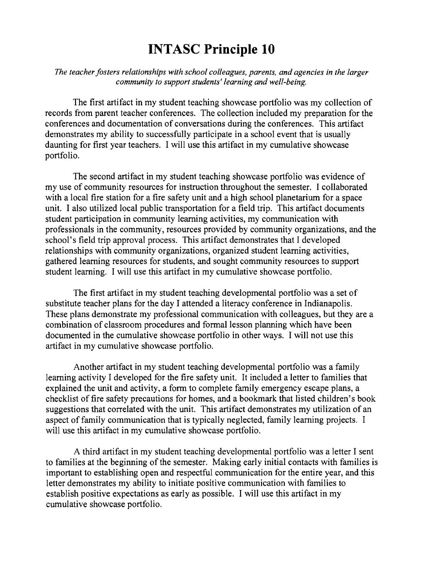*The teacher fosters relationships with school colleagues, parents, and agencies in the larger community to support students' learning and well-being.* 

The first artifact in my student teaching showcase portfolio was my collection of records from parent teacher conferences. The collection included my preparation for the conferences and documentation of conversations during the conferences. This artifact demonstrates my ability to successfully participate in a school event that is usually daunting for first year teachers. I will use this artifact in my cumulative showcase portfolio.

The second artifact in my student teaching showcase portfolio was evidence of my use of community resources for instruction throughout the semester. I collaborated with a local fire station for a fire safety unit and a high school planetarium for a space unit. I also utilized local public transportation for a field trip. This artifact documents student participation in community learning activities, my communication with professionals in the community, resources provided by community organizations, and the school's field trip approval process. This artifact demonstrates that I developed relationships with community organizations, organized student learning activities, gathered learning resources for students, and sought community resources to support student learning. I will use this artifact in my cumulative showcase portfolio.

The first artifact in my student teaching developmental portfolio was a set of substitute teacher plans for the day I attended a literacy conference in Indianapolis. These plans demonstrate my professional communication with colleagues, but they are a combination of classroom procedures and formal lesson planning which have been documented in the cumulative showcase portfolio in other ways. I will not use this artifact in my cumulative showcase portfolio.

Another artifact in my student teaching developmental portfolio was a family learning activity I developed for the fire safety unit. It included a letter to families that explained the unit and activity, a form to complete family emergency escape plans, a checklist of fire safety precautions for homes, and a bookmark that listed children's book suggestions that correlated with the unit. This artifact demonstrates my utilization of an aspect of family communication that is typically neglected, family learning projects. I will use this artifact in my cumulative showcase portfolio.

A third artifact in my student teaching developmental portfolio was a letter I sent to families at the beginning of the semester. Making early initial contacts with families is important to establishing open and respectful communication for the entire year, and this letter demonstrates my ability to initiate positive communication with families to establish positive expectations as early as possible. I will use this artifact in my cumulative showcase portfolio.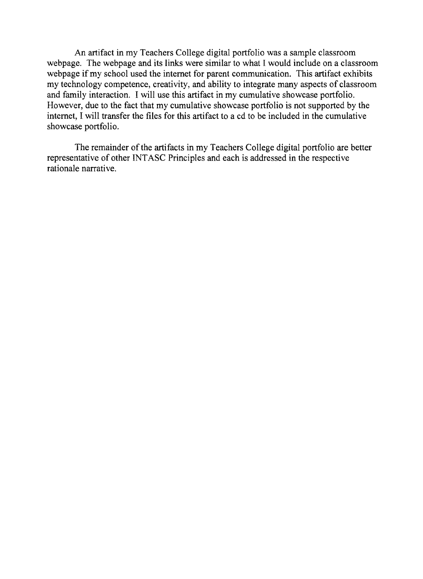An artifact in my Teachers College digital portfolio was a sample classroom webpage. The webpage and its links were similar to what I would include on a classroom webpage if my school used the internet for parent communication. This artifact exhibits my technology competence, creativity, and ability to integrate many aspects of classroom and family interaction. I will use this artifact in my cumulative showcase portfolio. However, due to the fact that my cumulative showcase portfolio is not supported by the internet, I will transfer the files for this artifact to a cd to be included in the cumulative showcase portfolio.

The remainder of the artifacts in my Teachers College digital portfolio are better representative of other INT ASC Principles and each is addressed in the respective rationale narrative.